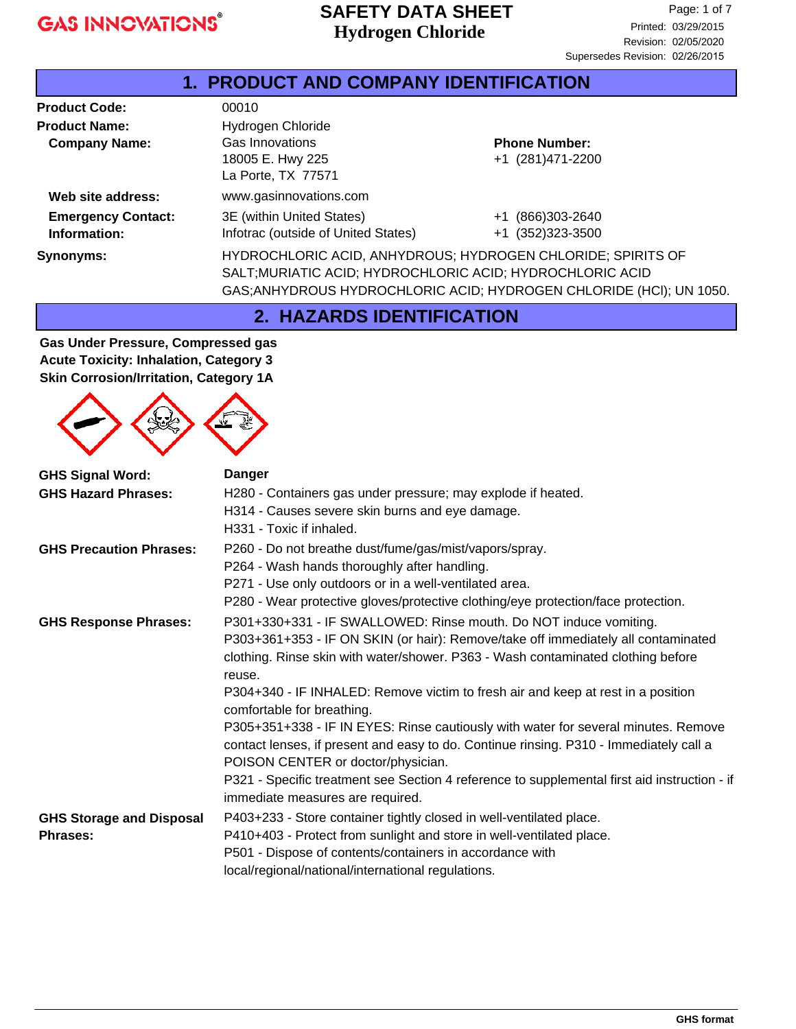#### **Hydrogen Chloride SAFETY DATA SHEET**

J.

| <b>1. PRODUCT AND COMPANY IDENTIFICATION</b> |                                                                                                                                                                                                 |                                          |  |
|----------------------------------------------|-------------------------------------------------------------------------------------------------------------------------------------------------------------------------------------------------|------------------------------------------|--|
| <b>Product Code:</b>                         | 00010                                                                                                                                                                                           |                                          |  |
| <b>Product Name:</b><br><b>Company Name:</b> | Hydrogen Chloride<br>Gas Innovations<br>18005 E. Hwy 225                                                                                                                                        | <b>Phone Number:</b><br>+1 (281)471-2200 |  |
| Web site address:                            | La Porte, TX 77571<br>www.gasinnovations.com                                                                                                                                                    |                                          |  |
| <b>Emergency Contact:</b><br>Information:    | 3E (within United States)<br>Infotrac (outside of United States)                                                                                                                                | +1 (866)303-2640<br>+1 (352) 323-3500    |  |
| Synonyms:                                    | HYDROCHLORIC ACID, ANHYDROUS; HYDROGEN CHLORIDE; SPIRITS OF<br>SALT; MURIATIC ACID; HYDROCHLORIC ACID; HYDROCHLORIC ACID<br>GAS; ANHYDROUS HYDROCHLORIC ACID; HYDROGEN CHLORIDE (HCI); UN 1050. |                                          |  |

**2. HAZARDS IDENTIFICATION**

**Gas Under Pressure, Compressed gas Acute Toxicity: Inhalation, Category 3 Skin Corrosion/Irritation, Category 1A**



| <b>GHS Signal Word:</b>                            | <b>Danger</b>                                                                                                                                                                                                                                                                                                                                                                                                                                                                                                                                                                                                                                                                                                                    |  |  |  |
|----------------------------------------------------|----------------------------------------------------------------------------------------------------------------------------------------------------------------------------------------------------------------------------------------------------------------------------------------------------------------------------------------------------------------------------------------------------------------------------------------------------------------------------------------------------------------------------------------------------------------------------------------------------------------------------------------------------------------------------------------------------------------------------------|--|--|--|
| <b>GHS Hazard Phrases:</b>                         | H280 - Containers gas under pressure; may explode if heated.<br>H314 - Causes severe skin burns and eye damage.<br>H331 - Toxic if inhaled.                                                                                                                                                                                                                                                                                                                                                                                                                                                                                                                                                                                      |  |  |  |
| <b>GHS Precaution Phrases:</b>                     | P260 - Do not breathe dust/fume/gas/mist/vapors/spray.<br>P264 - Wash hands thoroughly after handling.<br>P271 - Use only outdoors or in a well-ventilated area.<br>P280 - Wear protective gloves/protective clothing/eye protection/face protection.                                                                                                                                                                                                                                                                                                                                                                                                                                                                            |  |  |  |
| <b>GHS Response Phrases:</b>                       | P301+330+331 - IF SWALLOWED: Rinse mouth. Do NOT induce vomiting.<br>P303+361+353 - IF ON SKIN (or hair): Remove/take off immediately all contaminated<br>clothing. Rinse skin with water/shower. P363 - Wash contaminated clothing before<br>reuse.<br>P304+340 - IF INHALED: Remove victim to fresh air and keep at rest in a position<br>comfortable for breathing.<br>P305+351+338 - IF IN EYES: Rinse cautiously with water for several minutes. Remove<br>contact lenses, if present and easy to do. Continue rinsing. P310 - Immediately call a<br>POISON CENTER or doctor/physician.<br>P321 - Specific treatment see Section 4 reference to supplemental first aid instruction - if<br>immediate measures are required. |  |  |  |
| <b>GHS Storage and Disposal</b><br><b>Phrases:</b> | P403+233 - Store container tightly closed in well-ventilated place.<br>P410+403 - Protect from sunlight and store in well-ventilated place.<br>P501 - Dispose of contents/containers in accordance with<br>local/regional/national/international regulations.                                                                                                                                                                                                                                                                                                                                                                                                                                                                    |  |  |  |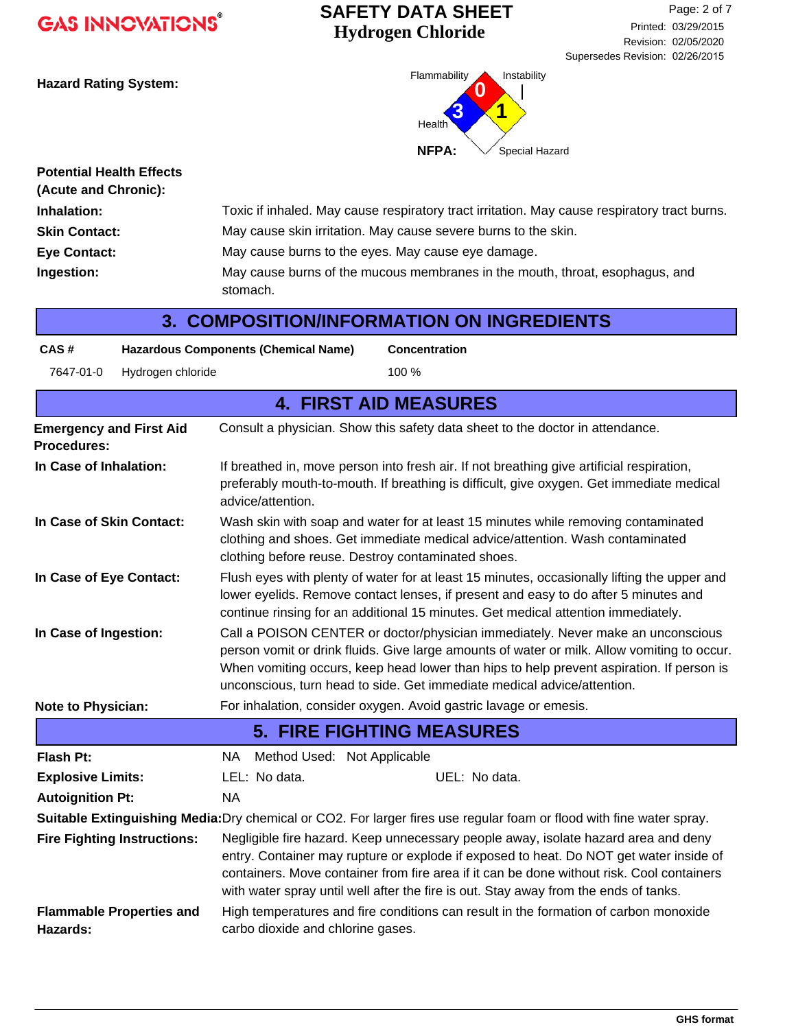## **Hydrogen Chloride SAFETY DATA SHEET**



| <b>Potential Health Effects</b><br>(Acute and Chronic): |                                                                                              |
|---------------------------------------------------------|----------------------------------------------------------------------------------------------|
| Inhalation:                                             | Toxic if inhaled. May cause respiratory tract irritation. May cause respiratory tract burns. |
| <b>Skin Contact:</b>                                    | May cause skin irritation. May cause severe burns to the skin.                               |
| Eye Contact:                                            | May cause burns to the eyes. May cause eye damage.                                           |
| Ingestion:                                              | May cause burns of the mucous membranes in the mouth, throat, esophagus, and<br>stomach.     |

| 3. COMPOSITION/INFORMATION ON INGREDIENTS |  |
|-------------------------------------------|--|
|-------------------------------------------|--|

| CAS#                                                                                                                                                                                                                                                                                                                                                                           | <b>Hazardous Components (Chemical Name)</b><br><b>Concentration</b>                                                                                                                                                                                                                                                                                               |  |  |  |
|--------------------------------------------------------------------------------------------------------------------------------------------------------------------------------------------------------------------------------------------------------------------------------------------------------------------------------------------------------------------------------|-------------------------------------------------------------------------------------------------------------------------------------------------------------------------------------------------------------------------------------------------------------------------------------------------------------------------------------------------------------------|--|--|--|
| Hydrogen chloride<br>7647-01-0                                                                                                                                                                                                                                                                                                                                                 | 100 %                                                                                                                                                                                                                                                                                                                                                             |  |  |  |
|                                                                                                                                                                                                                                                                                                                                                                                | <b>4. FIRST AID MEASURES</b>                                                                                                                                                                                                                                                                                                                                      |  |  |  |
| <b>Emergency and First Aid</b><br><b>Procedures:</b>                                                                                                                                                                                                                                                                                                                           | Consult a physician. Show this safety data sheet to the doctor in attendance.                                                                                                                                                                                                                                                                                     |  |  |  |
| In Case of Inhalation:                                                                                                                                                                                                                                                                                                                                                         | If breathed in, move person into fresh air. If not breathing give artificial respiration,<br>preferably mouth-to-mouth. If breathing is difficult, give oxygen. Get immediate medical<br>advice/attention.                                                                                                                                                        |  |  |  |
| In Case of Skin Contact:                                                                                                                                                                                                                                                                                                                                                       | Wash skin with soap and water for at least 15 minutes while removing contaminated<br>clothing and shoes. Get immediate medical advice/attention. Wash contaminated<br>clothing before reuse. Destroy contaminated shoes.                                                                                                                                          |  |  |  |
| Flush eyes with plenty of water for at least 15 minutes, occasionally lifting the upper and<br>In Case of Eye Contact:<br>lower eyelids. Remove contact lenses, if present and easy to do after 5 minutes and<br>continue rinsing for an additional 15 minutes. Get medical attention immediately.                                                                             |                                                                                                                                                                                                                                                                                                                                                                   |  |  |  |
| Call a POISON CENTER or doctor/physician immediately. Never make an unconscious<br>In Case of Ingestion:<br>person vomit or drink fluids. Give large amounts of water or milk. Allow vomiting to occur.<br>When vomiting occurs, keep head lower than hips to help prevent aspiration. If person is<br>unconscious, turn head to side. Get immediate medical advice/attention. |                                                                                                                                                                                                                                                                                                                                                                   |  |  |  |
| Note to Physician:                                                                                                                                                                                                                                                                                                                                                             | For inhalation, consider oxygen. Avoid gastric lavage or emesis.                                                                                                                                                                                                                                                                                                  |  |  |  |
|                                                                                                                                                                                                                                                                                                                                                                                | <b>5. FIRE FIGHTING MEASURES</b>                                                                                                                                                                                                                                                                                                                                  |  |  |  |
| <b>Flash Pt:</b>                                                                                                                                                                                                                                                                                                                                                               | Method Used: Not Applicable<br>NA.                                                                                                                                                                                                                                                                                                                                |  |  |  |
| <b>Explosive Limits:</b>                                                                                                                                                                                                                                                                                                                                                       | LEL: No data.<br>UEL: No data.                                                                                                                                                                                                                                                                                                                                    |  |  |  |
| <b>Autoignition Pt:</b>                                                                                                                                                                                                                                                                                                                                                        | <b>NA</b>                                                                                                                                                                                                                                                                                                                                                         |  |  |  |
|                                                                                                                                                                                                                                                                                                                                                                                | Suitable Extinguishing Media: Dry chemical or CO2. For larger fires use regular foam or flood with fine water spray.                                                                                                                                                                                                                                              |  |  |  |
| <b>Fire Fighting Instructions:</b>                                                                                                                                                                                                                                                                                                                                             | Negligible fire hazard. Keep unnecessary people away, isolate hazard area and deny<br>entry. Container may rupture or explode if exposed to heat. Do NOT get water inside of<br>containers. Move container from fire area if it can be done without risk. Cool containers<br>with water spray until well after the fire is out. Stay away from the ends of tanks. |  |  |  |
| High temperatures and fire conditions can result in the formation of carbon monoxide<br><b>Flammable Properties and</b><br><b>Hazards:</b><br>carbo dioxide and chlorine gases.                                                                                                                                                                                                |                                                                                                                                                                                                                                                                                                                                                                   |  |  |  |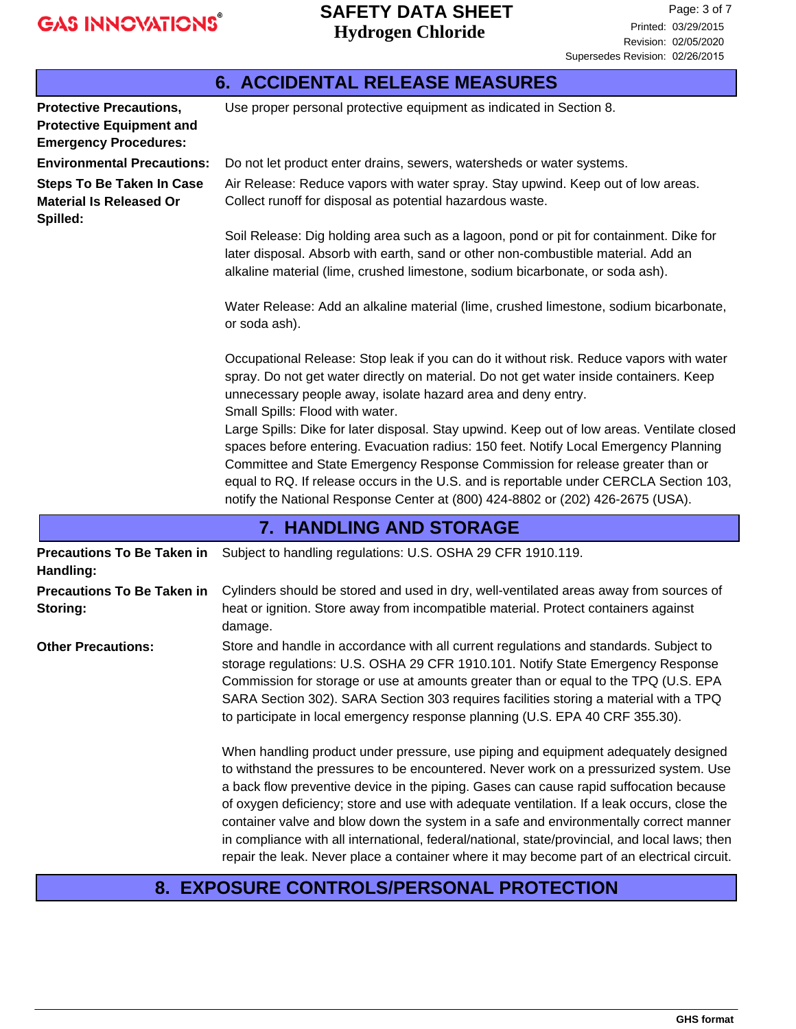|                                                                                                   | <b>6. ACCIDENTAL RELEASE MEASURES</b>                                                                                                                                                                                                                                                                                                                                                                                                            |  |  |
|---------------------------------------------------------------------------------------------------|--------------------------------------------------------------------------------------------------------------------------------------------------------------------------------------------------------------------------------------------------------------------------------------------------------------------------------------------------------------------------------------------------------------------------------------------------|--|--|
| <b>Protective Precautions,</b><br><b>Protective Equipment and</b><br><b>Emergency Procedures:</b> | Use proper personal protective equipment as indicated in Section 8.                                                                                                                                                                                                                                                                                                                                                                              |  |  |
| <b>Environmental Precautions:</b>                                                                 | Do not let product enter drains, sewers, watersheds or water systems.                                                                                                                                                                                                                                                                                                                                                                            |  |  |
| <b>Steps To Be Taken In Case</b><br><b>Material Is Released Or</b><br>Spilled:                    | Air Release: Reduce vapors with water spray. Stay upwind. Keep out of low areas.<br>Collect runoff for disposal as potential hazardous waste.                                                                                                                                                                                                                                                                                                    |  |  |
|                                                                                                   | Soil Release: Dig holding area such as a lagoon, pond or pit for containment. Dike for<br>later disposal. Absorb with earth, sand or other non-combustible material. Add an<br>alkaline material (lime, crushed limestone, sodium bicarbonate, or soda ash).                                                                                                                                                                                     |  |  |
|                                                                                                   | Water Release: Add an alkaline material (lime, crushed limestone, sodium bicarbonate,<br>or soda ash).                                                                                                                                                                                                                                                                                                                                           |  |  |
|                                                                                                   | Occupational Release: Stop leak if you can do it without risk. Reduce vapors with water<br>spray. Do not get water directly on material. Do not get water inside containers. Keep<br>unnecessary people away, isolate hazard area and deny entry.<br>Small Spills: Flood with water.                                                                                                                                                             |  |  |
|                                                                                                   | Large Spills: Dike for later disposal. Stay upwind. Keep out of low areas. Ventilate closed<br>spaces before entering. Evacuation radius: 150 feet. Notify Local Emergency Planning<br>Committee and State Emergency Response Commission for release greater than or<br>equal to RQ. If release occurs in the U.S. and is reportable under CERCLA Section 103,<br>notify the National Response Center at (800) 424-8802 or (202) 426-2675 (USA). |  |  |
|                                                                                                   | <b>7. HANDLING AND STORAGE</b>                                                                                                                                                                                                                                                                                                                                                                                                                   |  |  |
| <b>Precautions To Be Taken in</b><br>Handling:                                                    | Subject to handling regulations: U.S. OSHA 29 CFR 1910.119.                                                                                                                                                                                                                                                                                                                                                                                      |  |  |
| <b>Precautions To Be Taken in</b><br>Storing:                                                     | Cylinders should be stored and used in dry, well-ventilated areas away from sources of<br>heat or ignition. Store away from incompatible material. Protect containers against<br>damage.                                                                                                                                                                                                                                                         |  |  |
| <b>Other Precautions:</b>                                                                         | Store and handle in accordance with all current requlations and standards. Subject to                                                                                                                                                                                                                                                                                                                                                            |  |  |

Store and handle in accordance with all current regulations and standards. Subject to storage regulations: U.S. OSHA 29 CFR 1910.101. Notify State Emergency Response Commission for storage or use at amounts greater than or equal to the TPQ (U.S. EPA SARA Section 302). SARA Section 303 requires facilities storing a material with a TPQ to participate in local emergency response planning (U.S. EPA 40 CRF 355.30). **Other Precautions:**

> When handling product under pressure, use piping and equipment adequately designed to withstand the pressures to be encountered. Never work on a pressurized system. Use a back flow preventive device in the piping. Gases can cause rapid suffocation because of oxygen deficiency; store and use with adequate ventilation. If a leak occurs, close the container valve and blow down the system in a safe and environmentally correct manner in compliance with all international, federal/national, state/provincial, and local laws; then repair the leak. Never place a container where it may become part of an electrical circuit.

#### **8. EXPOSURE CONTROLS/PERSONAL PROTECTION**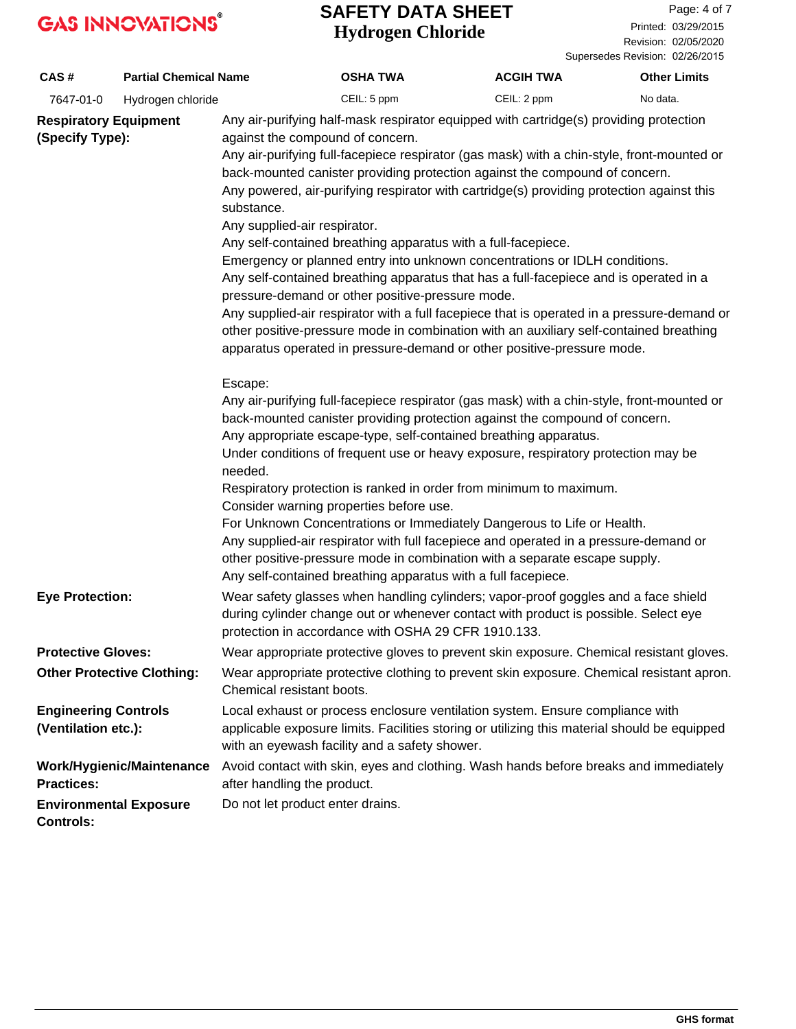## **Hydrogen Chloride SAFETY DATA SHEET**

Page: 4 of 7 Printed: 03/29/2015

Revision: 02/05/2020 Supersedes Revision: 02/26/2015

| CAS#                                               | <b>Partial Chemical Name</b>      |                                                                                | <b>OSHA TWA</b>                                                                                                                                                                                                                                                                                                                                                                                                                                                                                                                                                                                                                                                                                                                                                                                                                                                                                                                | <b>ACGIH TWA</b> | <b>Other Limits</b> |
|----------------------------------------------------|-----------------------------------|--------------------------------------------------------------------------------|--------------------------------------------------------------------------------------------------------------------------------------------------------------------------------------------------------------------------------------------------------------------------------------------------------------------------------------------------------------------------------------------------------------------------------------------------------------------------------------------------------------------------------------------------------------------------------------------------------------------------------------------------------------------------------------------------------------------------------------------------------------------------------------------------------------------------------------------------------------------------------------------------------------------------------|------------------|---------------------|
| 7647-01-0                                          | Hydrogen chloride                 |                                                                                | CEIL: 5 ppm                                                                                                                                                                                                                                                                                                                                                                                                                                                                                                                                                                                                                                                                                                                                                                                                                                                                                                                    | CEIL: 2 ppm      | No data.            |
| <b>Respiratory Equipment</b><br>(Specify Type):    |                                   | against the compound of concern.<br>substance.<br>Any supplied-air respirator. | Any air-purifying half-mask respirator equipped with cartridge(s) providing protection<br>Any air-purifying full-facepiece respirator (gas mask) with a chin-style, front-mounted or<br>back-mounted canister providing protection against the compound of concern.<br>Any powered, air-purifying respirator with cartridge(s) providing protection against this<br>Any self-contained breathing apparatus with a full-facepiece.<br>Emergency or planned entry into unknown concentrations or IDLH conditions.<br>Any self-contained breathing apparatus that has a full-facepiece and is operated in a<br>pressure-demand or other positive-pressure mode.<br>Any supplied-air respirator with a full facepiece that is operated in a pressure-demand or<br>other positive-pressure mode in combination with an auxiliary self-contained breathing<br>apparatus operated in pressure-demand or other positive-pressure mode. |                  |                     |
|                                                    |                                   | Escape:<br>needed.<br>Consider warning properties before use.                  | Any air-purifying full-facepiece respirator (gas mask) with a chin-style, front-mounted or<br>back-mounted canister providing protection against the compound of concern.<br>Any appropriate escape-type, self-contained breathing apparatus.<br>Under conditions of frequent use or heavy exposure, respiratory protection may be<br>Respiratory protection is ranked in order from minimum to maximum.<br>For Unknown Concentrations or Immediately Dangerous to Life or Health.<br>Any supplied-air respirator with full facepiece and operated in a pressure-demand or<br>other positive-pressure mode in combination with a separate escape supply.<br>Any self-contained breathing apparatus with a full facepiece.                                                                                                                                                                                                      |                  |                     |
| <b>Eye Protection:</b>                             |                                   |                                                                                | Wear safety glasses when handling cylinders; vapor-proof goggles and a face shield<br>during cylinder change out or whenever contact with product is possible. Select eye<br>protection in accordance with OSHA 29 CFR 1910.133.                                                                                                                                                                                                                                                                                                                                                                                                                                                                                                                                                                                                                                                                                               |                  |                     |
| <b>Protective Gloves:</b>                          |                                   |                                                                                | Wear appropriate protective gloves to prevent skin exposure. Chemical resistant gloves.                                                                                                                                                                                                                                                                                                                                                                                                                                                                                                                                                                                                                                                                                                                                                                                                                                        |                  |                     |
|                                                    | <b>Other Protective Clothing:</b> | Chemical resistant boots.                                                      | Wear appropriate protective clothing to prevent skin exposure. Chemical resistant apron.                                                                                                                                                                                                                                                                                                                                                                                                                                                                                                                                                                                                                                                                                                                                                                                                                                       |                  |                     |
| <b>Engineering Controls</b><br>(Ventilation etc.): |                                   |                                                                                | Local exhaust or process enclosure ventilation system. Ensure compliance with<br>applicable exposure limits. Facilities storing or utilizing this material should be equipped<br>with an eyewash facility and a safety shower.                                                                                                                                                                                                                                                                                                                                                                                                                                                                                                                                                                                                                                                                                                 |                  |                     |
| <b>Practices:</b>                                  | Work/Hygienic/Maintenance         | after handling the product.                                                    | Avoid contact with skin, eyes and clothing. Wash hands before breaks and immediately                                                                                                                                                                                                                                                                                                                                                                                                                                                                                                                                                                                                                                                                                                                                                                                                                                           |                  |                     |
| <b>Controls:</b>                                   | <b>Environmental Exposure</b>     | Do not let product enter drains.                                               |                                                                                                                                                                                                                                                                                                                                                                                                                                                                                                                                                                                                                                                                                                                                                                                                                                                                                                                                |                  |                     |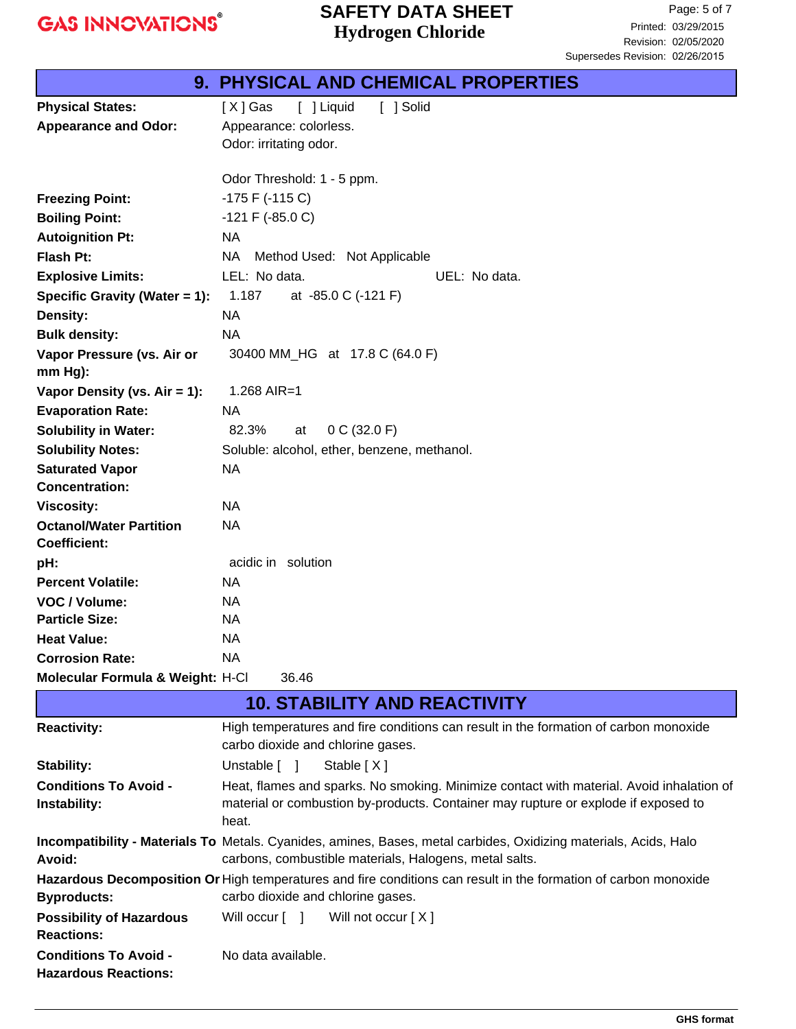## **Hydrogen Chloride SAFETY DATA SHEET**

|                                  | <b>9. PHYSICAL AND CHEMICAL PROPERTIES</b>  |  |  |
|----------------------------------|---------------------------------------------|--|--|
| <b>Physical States:</b>          | [ ] Liquid<br>[ ] Solid<br>[X] Gas          |  |  |
| <b>Appearance and Odor:</b>      | Appearance: colorless.                      |  |  |
|                                  | Odor: irritating odor.                      |  |  |
|                                  |                                             |  |  |
|                                  | Odor Threshold: 1 - 5 ppm.                  |  |  |
| <b>Freezing Point:</b>           | $-175$ F ( $-115$ C)                        |  |  |
| <b>Boiling Point:</b>            | $-121$ F ( $-85.0$ C)                       |  |  |
| <b>Autoignition Pt:</b>          | <b>NA</b>                                   |  |  |
| <b>Flash Pt:</b>                 | NA<br>Method Used: Not Applicable           |  |  |
| <b>Explosive Limits:</b>         | LEL: No data.<br>UEL: No data.              |  |  |
| Specific Gravity (Water = 1):    | 1.187<br>at -85.0 C (-121 F)                |  |  |
| Density:                         | <b>NA</b>                                   |  |  |
| <b>Bulk density:</b>             | <b>NA</b>                                   |  |  |
| Vapor Pressure (vs. Air or       | 30400 MM_HG at 17.8 C (64.0 F)              |  |  |
| mm Hg):                          |                                             |  |  |
| Vapor Density (vs. $Air = 1$ ):  | 1.268 AIR=1                                 |  |  |
| <b>Evaporation Rate:</b>         | <b>NA</b>                                   |  |  |
| <b>Solubility in Water:</b>      | 82.3%<br>0 C (32.0 F)<br>at                 |  |  |
| <b>Solubility Notes:</b>         | Soluble: alcohol, ether, benzene, methanol. |  |  |
| <b>Saturated Vapor</b>           | <b>NA</b>                                   |  |  |
| <b>Concentration:</b>            |                                             |  |  |
| <b>Viscosity:</b>                | <b>NA</b>                                   |  |  |
| <b>Octanol/Water Partition</b>   | <b>NA</b>                                   |  |  |
| <b>Coefficient:</b>              |                                             |  |  |
| pH:                              | acidic in solution                          |  |  |
| <b>Percent Volatile:</b>         | <b>NA</b>                                   |  |  |
| VOC / Volume:                    | NA.                                         |  |  |
| <b>Particle Size:</b>            | <b>NA</b>                                   |  |  |
| <b>Heat Value:</b>               | <b>NA</b>                                   |  |  |
| <b>Corrosion Rate:</b>           | <b>NA</b>                                   |  |  |
| Molecular Formula & Weight: H-Cl | 36.46                                       |  |  |

|                                                             | <b>10. STABILITY AND REACTIVITY</b>                                                                                                                                                     |
|-------------------------------------------------------------|-----------------------------------------------------------------------------------------------------------------------------------------------------------------------------------------|
| <b>Reactivity:</b>                                          | High temperatures and fire conditions can result in the formation of carbon monoxide<br>carbo dioxide and chlorine gases.                                                               |
| Stability:                                                  | Stable $[X]$<br>Unstable [ ]                                                                                                                                                            |
| <b>Conditions To Avoid -</b><br>Instability:                | Heat, flames and sparks. No smoking. Minimize contact with material. Avoid inhalation of<br>material or combustion by-products. Container may rupture or explode if exposed to<br>heat. |
| Avoid:                                                      | Incompatibility - Materials To Metals. Cyanides, amines, Bases, metal carbides, Oxidizing materials, Acids, Halo<br>carbons, combustible materials, Halogens, metal salts.              |
| <b>Byproducts:</b>                                          | Hazardous Decomposition Or High temperatures and fire conditions can result in the formation of carbon monoxide<br>carbo dioxide and chlorine gases.                                    |
| <b>Possibility of Hazardous</b><br><b>Reactions:</b>        | Will occur $\begin{bmatrix} 1 \\ 1 \end{bmatrix}$ Will not occur $[X]$                                                                                                                  |
| <b>Conditions To Avoid -</b><br><b>Hazardous Reactions:</b> | No data available.                                                                                                                                                                      |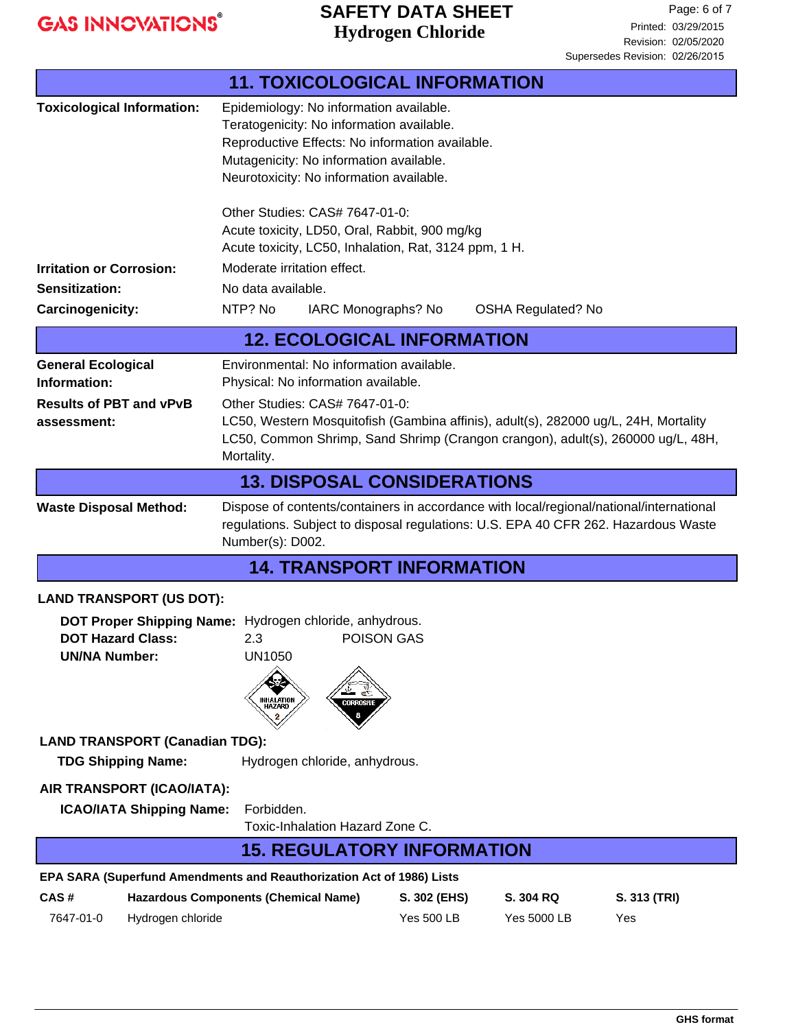## **Hydrogen Chloride SAFETY DATA SHEET**

|                                                                                                                                                                                                                                    | <b>11. TOXICOLOGICAL INFORMATION</b>                                                                                                                                                                                           |                                  |                           |              |
|------------------------------------------------------------------------------------------------------------------------------------------------------------------------------------------------------------------------------------|--------------------------------------------------------------------------------------------------------------------------------------------------------------------------------------------------------------------------------|----------------------------------|---------------------------|--------------|
| <b>Toxicological Information:</b>                                                                                                                                                                                                  | Epidemiology: No information available.<br>Teratogenicity: No information available.<br>Reproductive Effects: No information available.<br>Mutagenicity: No information available.<br>Neurotoxicity: No information available. |                                  |                           |              |
|                                                                                                                                                                                                                                    | Other Studies: CAS# 7647-01-0:<br>Acute toxicity, LD50, Oral, Rabbit, 900 mg/kg<br>Acute toxicity, LC50, Inhalation, Rat, 3124 ppm, 1 H.                                                                                       |                                  |                           |              |
| <b>Irritation or Corrosion:</b>                                                                                                                                                                                                    | Moderate irritation effect.                                                                                                                                                                                                    |                                  |                           |              |
| Sensitization:                                                                                                                                                                                                                     | No data available.                                                                                                                                                                                                             |                                  |                           |              |
| <b>Carcinogenicity:</b>                                                                                                                                                                                                            | NTP? No                                                                                                                                                                                                                        | IARC Monographs? No              | <b>OSHA Regulated? No</b> |              |
| <b>12. ECOLOGICAL INFORMATION</b>                                                                                                                                                                                                  |                                                                                                                                                                                                                                |                                  |                           |              |
| <b>General Ecological</b>                                                                                                                                                                                                          | Environmental: No information available.                                                                                                                                                                                       |                                  |                           |              |
| Information:                                                                                                                                                                                                                       | Physical: No information available.                                                                                                                                                                                            |                                  |                           |              |
| <b>Results of PBT and vPvB</b><br>assessment:                                                                                                                                                                                      | Other Studies: CAS# 7647-01-0:<br>LC50, Western Mosquitofish (Gambina affinis), adult(s), 282000 ug/L, 24H, Mortality<br>LC50, Common Shrimp, Sand Shrimp (Crangon crangon), adult(s), 260000 ug/L, 48H,<br>Mortality.         |                                  |                           |              |
|                                                                                                                                                                                                                                    | <b>13. DISPOSAL CONSIDERATIONS</b>                                                                                                                                                                                             |                                  |                           |              |
| Dispose of contents/containers in accordance with local/regional/national/international<br><b>Waste Disposal Method:</b><br>regulations. Subject to disposal regulations: U.S. EPA 40 CFR 262. Hazardous Waste<br>Number(s): D002. |                                                                                                                                                                                                                                |                                  |                           |              |
|                                                                                                                                                                                                                                    |                                                                                                                                                                                                                                | <b>14. TRANSPORT INFORMATION</b> |                           |              |
| <b>LAND TRANSPORT (US DOT):</b><br>DOT Proper Shipping Name: Hydrogen chloride, anhydrous.<br>POISON GAS<br><b>DOT Hazard Class:</b><br>2.3<br><b>UN/NA Number:</b><br><b>UN1050</b>                                               |                                                                                                                                                                                                                                |                                  |                           |              |
| <b>INHALATION</b><br>CORROSIVE                                                                                                                                                                                                     |                                                                                                                                                                                                                                |                                  |                           |              |
| <b>LAND TRANSPORT (Canadian TDG):</b><br><b>TDG Shipping Name:</b>                                                                                                                                                                 | Hydrogen chloride, anhydrous.                                                                                                                                                                                                  |                                  |                           |              |
| AIR TRANSPORT (ICAO/IATA):<br>Forbidden.<br><b>ICAO/IATA Shipping Name:</b><br>Toxic-Inhalation Hazard Zone C.                                                                                                                     |                                                                                                                                                                                                                                |                                  |                           |              |
| <b>15. REGULATORY INFORMATION</b>                                                                                                                                                                                                  |                                                                                                                                                                                                                                |                                  |                           |              |
| EPA SARA (Superfund Amendments and Reauthorization Act of 1986) Lists                                                                                                                                                              |                                                                                                                                                                                                                                |                                  |                           |              |
| CAS#<br><b>Hazardous Components (Chemical Name)</b>                                                                                                                                                                                |                                                                                                                                                                                                                                |                                  | S. 304 RQ<br>S. 302 (EHS) | S. 313 (TRI) |
| Hydrogen chloride<br>7647-01-0                                                                                                                                                                                                     |                                                                                                                                                                                                                                | <b>Yes 500 LB</b>                | <b>Yes 5000 LB</b>        | Yes          |
|                                                                                                                                                                                                                                    |                                                                                                                                                                                                                                |                                  |                           |              |